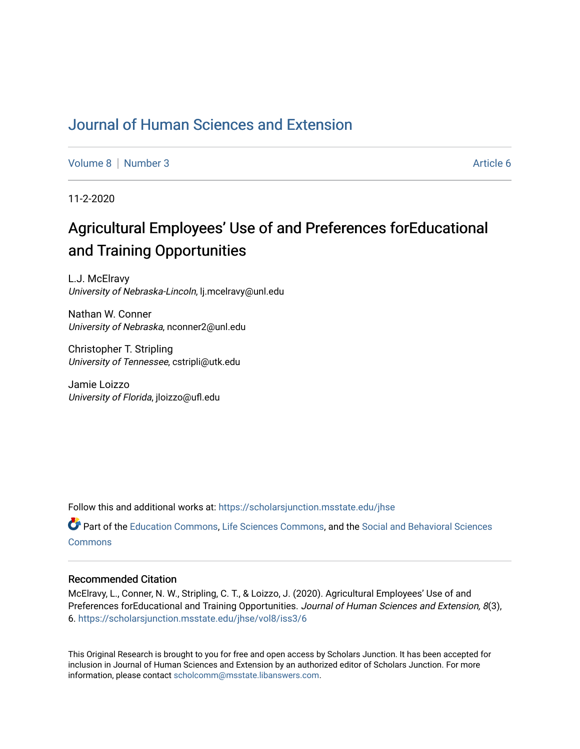## [Journal of Human Sciences and Extension](https://scholarsjunction.msstate.edu/jhse)

[Volume 8](https://scholarsjunction.msstate.edu/jhse/vol8) [Number 3](https://scholarsjunction.msstate.edu/jhse/vol8/iss3) Article 6

11-2-2020

# Agricultural Employees' Use of and Preferences forEducational and Training Opportunities

L.J. McElravy University of Nebraska-Lincoln, lj.mcelravy@unl.edu

Nathan W. Conner University of Nebraska, nconner2@unl.edu

Christopher T. Stripling University of Tennessee, cstripli@utk.edu

Jamie Loizzo University of Florida, jloizzo@ufl.edu

Follow this and additional works at: [https://scholarsjunction.msstate.edu/jhse](https://scholarsjunction.msstate.edu/jhse?utm_source=scholarsjunction.msstate.edu%2Fjhse%2Fvol8%2Fiss3%2F6&utm_medium=PDF&utm_campaign=PDFCoverPages)

Part of the [Education Commons](http://network.bepress.com/hgg/discipline/784?utm_source=scholarsjunction.msstate.edu%2Fjhse%2Fvol8%2Fiss3%2F6&utm_medium=PDF&utm_campaign=PDFCoverPages), [Life Sciences Commons](http://network.bepress.com/hgg/discipline/1016?utm_source=scholarsjunction.msstate.edu%2Fjhse%2Fvol8%2Fiss3%2F6&utm_medium=PDF&utm_campaign=PDFCoverPages), and the [Social and Behavioral Sciences](http://network.bepress.com/hgg/discipline/316?utm_source=scholarsjunction.msstate.edu%2Fjhse%2Fvol8%2Fiss3%2F6&utm_medium=PDF&utm_campaign=PDFCoverPages)  **[Commons](http://network.bepress.com/hgg/discipline/316?utm_source=scholarsjunction.msstate.edu%2Fjhse%2Fvol8%2Fiss3%2F6&utm_medium=PDF&utm_campaign=PDFCoverPages)** 

#### Recommended Citation

McElravy, L., Conner, N. W., Stripling, C. T., & Loizzo, J. (2020). Agricultural Employees' Use of and Preferences forEducational and Training Opportunities. Journal of Human Sciences and Extension, 8(3), 6. [https://scholarsjunction.msstate.edu/jhse/vol8/iss3/6](https://scholarsjunction.msstate.edu/jhse/vol8/iss3/6?utm_source=scholarsjunction.msstate.edu%2Fjhse%2Fvol8%2Fiss3%2F6&utm_medium=PDF&utm_campaign=PDFCoverPages)

This Original Research is brought to you for free and open access by Scholars Junction. It has been accepted for inclusion in Journal of Human Sciences and Extension by an authorized editor of Scholars Junction. For more information, please contact [scholcomm@msstate.libanswers.com](mailto:scholcomm@msstate.libanswers.com).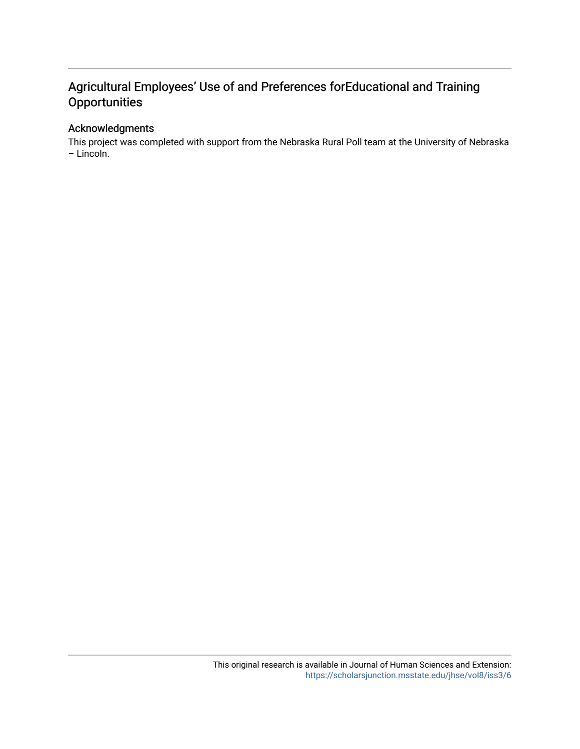## Agricultural Employees' Use of and Preferences forEducational and Training **Opportunities**

## Acknowledgments

This project was completed with support from the Nebraska Rural Poll team at the University of Nebraska – Lincoln.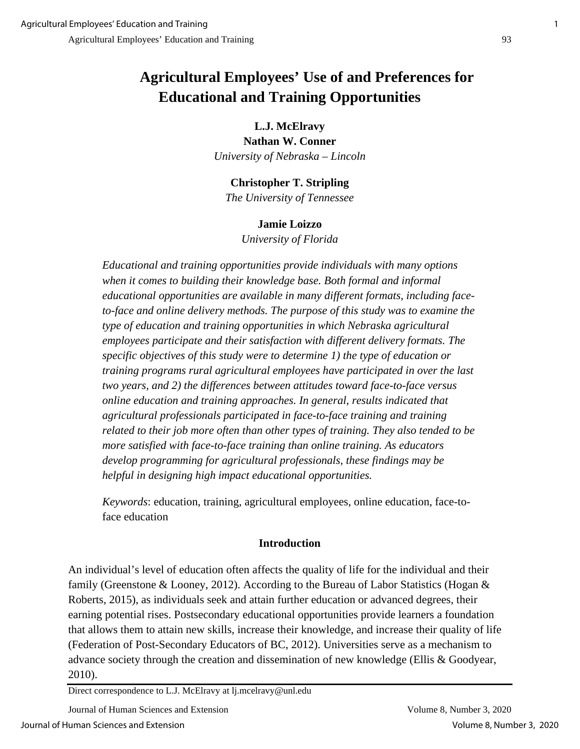# **Agricultural Employees' Use of and Preferences for Educational and Training Opportunities**

## **L.J. McElravy**

**Nathan W. Conner**  *University of Nebraska – Lincoln* 

## **Christopher T. Stripling**

*The University of Tennessee*

## **Jamie Loizzo**

*University of Florida*

*Educational and training opportunities provide individuals with many options when it comes to building their knowledge base. Both formal and informal educational opportunities are available in many different formats, including face*to-face and online delivery methods. The purpose of this study was to examine the *type of education and training opportunities in which Nebraska agricultural employees participate and their satisfaction with different delivery formats. The specific objectives of this study were to determine 1) the type of education or training programs rural agricultural employees have participated in over the last two years, and 2) the differences between attitudes toward face-to-face versus online education and training approaches. In general, results indicated that agricultural professionals participated in face-to-face training and training related to their job more often than other types of training. They also tended to be more satisfied with face-to-face training than online training. As educators develop programming for agricultural professionals, these findings may be helpful in designing high impact educational opportunities.* 

*Keywords*: education, training, agricultural employees, online education, face-toface education

## **Introduction**

An individual's level of education often affects the quality of life for the individual and their family (Greenstone & Looney, 2012). According to the Bureau of Labor Statistics (Hogan & Roberts, 2015), as individuals seek and attain further education or advanced degrees, their earning potential rises. Postsecondary educational opportunities provide learners a foundation that allows them to attain new skills, increase their knowledge, and increase their quality of life (Federation of Post-Secondary Educators of BC, 2012). Universities serve as a mechanism to advance society through the creation and dissemination of new knowledge (Ellis & Goodyear, 2010).

Direct correspondence to L.J. McElravy at lj.mcelravy@unl.edu

Journal of Human Sciences and Extension Volume 8, Number 3, 2020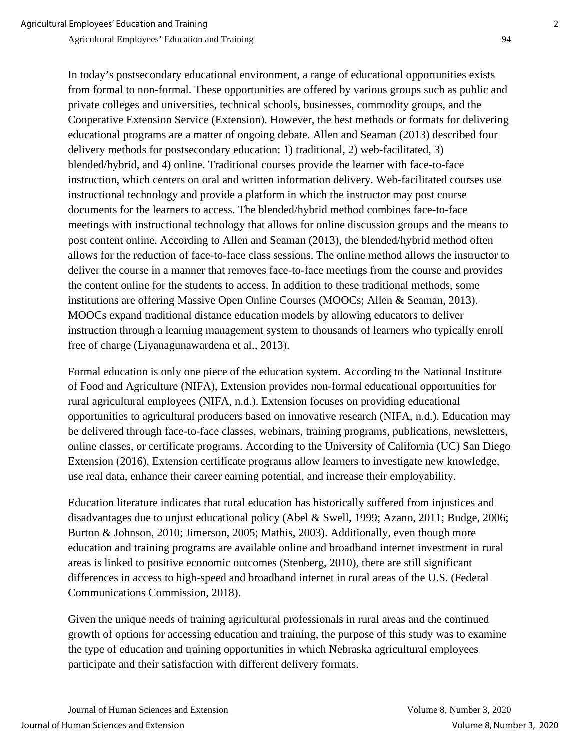In today's postsecondary educational environment, a range of educational opportunities exists from formal to non-formal. These opportunities are offered by various groups such as public and private colleges and universities, technical schools, businesses, commodity groups, and the Cooperative Extension Service (Extension). However, the best methods or formats for delivering educational programs are a matter of ongoing debate. Allen and Seaman (2013) described four delivery methods for postsecondary education: 1) traditional, 2) web-facilitated, 3) blended/hybrid, and 4) online. Traditional courses provide the learner with face-to-face instruction, which centers on oral and written information delivery. Web-facilitated courses use instructional technology and provide a platform in which the instructor may post course documents for the learners to access. The blended/hybrid method combines face-to-face meetings with instructional technology that allows for online discussion groups and the means to post content online. According to Allen and Seaman (2013), the blended/hybrid method often allows for the reduction of face-to-face class sessions. The online method allows the instructor to deliver the course in a manner that removes face-to-face meetings from the course and provides the content online for the students to access. In addition to these traditional methods, some institutions are offering Massive Open Online Courses (MOOCs; Allen & Seaman, 2013). MOOCs expand traditional distance education models by allowing educators to deliver instruction through a learning management system to thousands of learners who typically enroll free of charge (Liyanagunawardena et al., 2013).

Formal education is only one piece of the education system. According to the National Institute of Food and Agriculture (NIFA), Extension provides non-formal educational opportunities for rural agricultural employees (NIFA, n.d.). Extension focuses on providing educational opportunities to agricultural producers based on innovative research (NIFA, n.d.). Education may be delivered through face-to-face classes, webinars, training programs, publications, newsletters, online classes, or certificate programs. According to the University of California (UC) San Diego Extension (2016), Extension certificate programs allow learners to investigate new knowledge, use real data, enhance their career earning potential, and increase their employability.

Education literature indicates that rural education has historically suffered from injustices and disadvantages due to unjust educational policy (Abel & Swell, 1999; Azano, 2011; Budge, 2006; Burton & Johnson, 2010; Jimerson, 2005; Mathis, 2003). Additionally, even though more education and training programs are available online and broadband internet investment in rural areas is linked to positive economic outcomes (Stenberg, 2010), there are still significant differences in access to high-speed and broadband internet in rural areas of the U.S. (Federal Communications Commission, 2018).

Given the unique needs of training agricultural professionals in rural areas and the continued growth of options for accessing education and training, the purpose of this study was to examine the type of education and training opportunities in which Nebraska agricultural employees participate and their satisfaction with different delivery formats.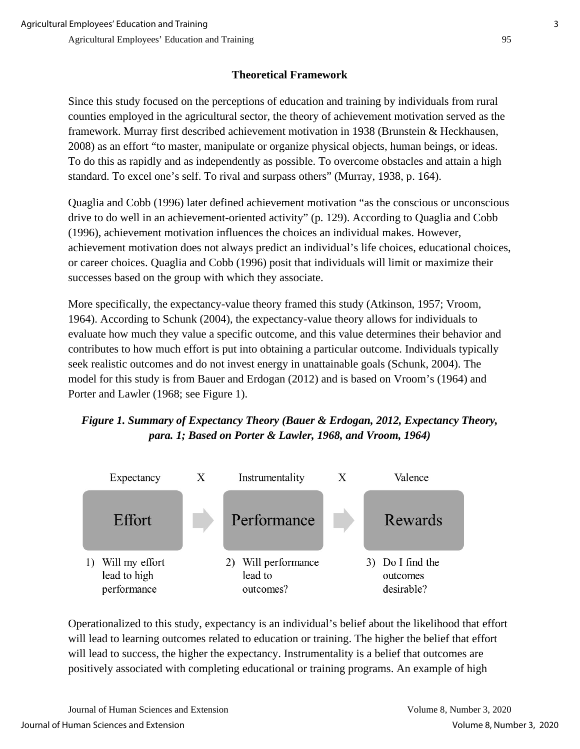## **Theoretical Framework**

Since this study focused on the perceptions of education and training by individuals from rural counties employed in the agricultural sector, the theory of achievement motivation served as the framework. Murray first described achievement motivation in 1938 (Brunstein & Heckhausen, 2008) as an effort "to master, manipulate or organize physical objects, human beings, or ideas. To do this as rapidly and as independently as possible. To overcome obstacles and attain a high standard. To excel one's self. To rival and surpass others" (Murray, 1938, p. 164).

Quaglia and Cobb (1996) later defined achievement motivation "as the conscious or unconscious drive to do well in an achievement-oriented activity" (p. 129). According to Quaglia and Cobb (1996), achievement motivation influences the choices an individual makes. However, achievement motivation does not always predict an individual's life choices, educational choices, or career choices. Quaglia and Cobb (1996) posit that individuals will limit or maximize their successes based on the group with which they associate.

More specifically, the expectancy-value theory framed this study (Atkinson, 1957; Vroom, 1964). According to Schunk (2004), the expectancy-value theory allows for individuals to evaluate how much they value a specific outcome, and this value determines their behavior and contributes to how much effort is put into obtaining a particular outcome. Individuals typically seek realistic outcomes and do not invest energy in unattainable goals (Schunk, 2004). The model for this study is from Bauer and Erdogan (2012) and is based on Vroom's (1964) and Porter and Lawler (1968; see Figure 1).

## *Figure 1. Summary of Expectancy Theory (Bauer & Erdogan, 2012, Expectancy Theory, para. 1; Based on Porter & Lawler, 1968, and Vroom, 1964)*



Operationalized to this study, expectancy is an individual's belief about the likelihood that effort will lead to learning outcomes related to education or training. The higher the belief that effort will lead to success, the higher the expectancy. Instrumentality is a belief that outcomes are positively associated with completing educational or training programs. An example of high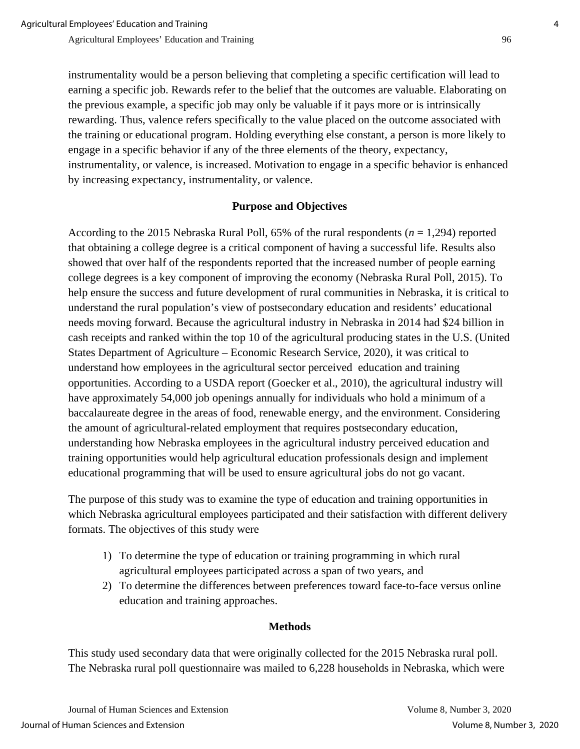instrumentality would be a person believing that completing a specific certification will lead to earning a specific job. Rewards refer to the belief that the outcomes are valuable. Elaborating on the previous example, a specific job may only be valuable if it pays more or is intrinsically rewarding. Thus, valence refers specifically to the value placed on the outcome associated with the training or educational program. Holding everything else constant, a person is more likely to engage in a specific behavior if any of the three elements of the theory, expectancy, instrumentality, or valence, is increased. Motivation to engage in a specific behavior is enhanced by increasing expectancy, instrumentality, or valence.

## **Purpose and Objectives**

According to the 2015 Nebraska Rural Poll, 65% of the rural respondents (*n* = 1,294) reported that obtaining a college degree is a critical component of having a successful life. Results also showed that over half of the respondents reported that the increased number of people earning college degrees is a key component of improving the economy (Nebraska Rural Poll, 2015). To help ensure the success and future development of rural communities in Nebraska, it is critical to understand the rural population's view of postsecondary education and residents' educational needs moving forward. Because the agricultural industry in Nebraska in 2014 had \$24 billion in cash receipts and ranked within the top 10 of the agricultural producing states in the U.S. (United States Department of Agriculture – Economic Research Service, 2020), it was critical to understand how employees in the agricultural sector perceived education and training opportunities. According to a USDA report (Goecker et al., 2010), the agricultural industry will have approximately 54,000 job openings annually for individuals who hold a minimum of a baccalaureate degree in the areas of food, renewable energy, and the environment. Considering the amount of agricultural-related employment that requires postsecondary education, understanding how Nebraska employees in the agricultural industry perceived education and training opportunities would help agricultural education professionals design and implement educational programming that will be used to ensure agricultural jobs do not go vacant.

The purpose of this study was to examine the type of education and training opportunities in which Nebraska agricultural employees participated and their satisfaction with different delivery formats. The objectives of this study were

- 1) To determine the type of education or training programming in which rural agricultural employees participated across a span of two years, and
- 2) To determine the differences between preferences toward face-to-face versus online education and training approaches.

#### **Methods**

This study used secondary data that were originally collected for the 2015 Nebraska rural poll. The Nebraska rural poll questionnaire was mailed to 6,228 households in Nebraska, which were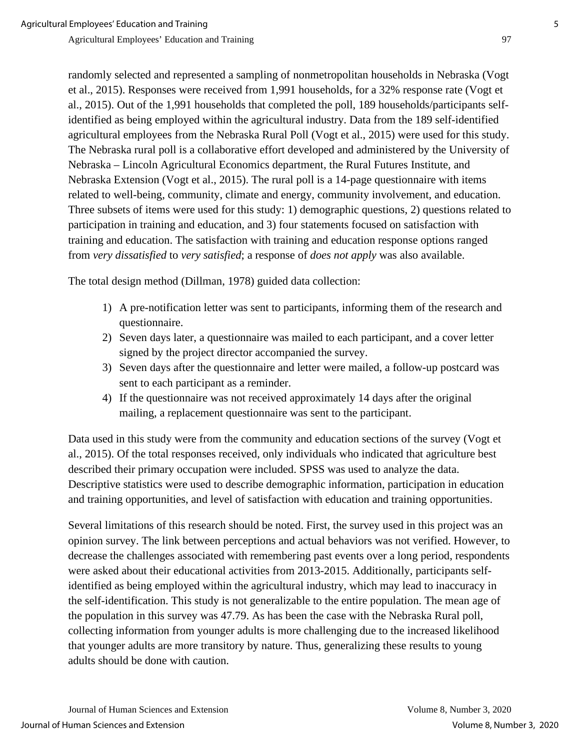randomly selected and represented a sampling of nonmetropolitan households in Nebraska (Vogt et al., 2015). Responses were received from 1,991 households, for a 32% response rate (Vogt et al., 2015). Out of the 1,991 households that completed the poll, 189 households/participants selfidentified as being employed within the agricultural industry. Data from the 189 self-identified agricultural employees from the Nebraska Rural Poll (Vogt et al., 2015) were used for this study. The Nebraska rural poll is a collaborative effort developed and administered by the University of Nebraska – Lincoln Agricultural Economics department, the Rural Futures Institute, and Nebraska Extension (Vogt et al., 2015). The rural poll is a 14-page questionnaire with items related to well-being, community, climate and energy, community involvement, and education. Three subsets of items were used for this study: 1) demographic questions, 2) questions related to participation in training and education, and 3) four statements focused on satisfaction with training and education. The satisfaction with training and education response options ranged from *very dissatisfied* to *very satisfied*; a response of *does not apply* was also available.

The total design method (Dillman, 1978) guided data collection:

- 1) A pre-notification letter was sent to participants, informing them of the research and questionnaire.
- 2) Seven days later, a questionnaire was mailed to each participant, and a cover letter signed by the project director accompanied the survey.
- 3) Seven days after the questionnaire and letter were mailed, a follow-up postcard was sent to each participant as a reminder.
- 4) If the questionnaire was not received approximately 14 days after the original mailing, a replacement questionnaire was sent to the participant.

Data used in this study were from the community and education sections of the survey (Vogt et al., 2015). Of the total responses received, only individuals who indicated that agriculture best described their primary occupation were included. SPSS was used to analyze the data. Descriptive statistics were used to describe demographic information, participation in education and training opportunities, and level of satisfaction with education and training opportunities.

Several limitations of this research should be noted. First, the survey used in this project was an opinion survey. The link between perceptions and actual behaviors was not verified. However, to decrease the challenges associated with remembering past events over a long period, respondents were asked about their educational activities from 2013-2015. Additionally, participants selfidentified as being employed within the agricultural industry, which may lead to inaccuracy in the self-identification. This study is not generalizable to the entire population. The mean age of the population in this survey was 47.79. As has been the case with the Nebraska Rural poll, collecting information from younger adults is more challenging due to the increased likelihood that younger adults are more transitory by nature. Thus, generalizing these results to young adults should be done with caution.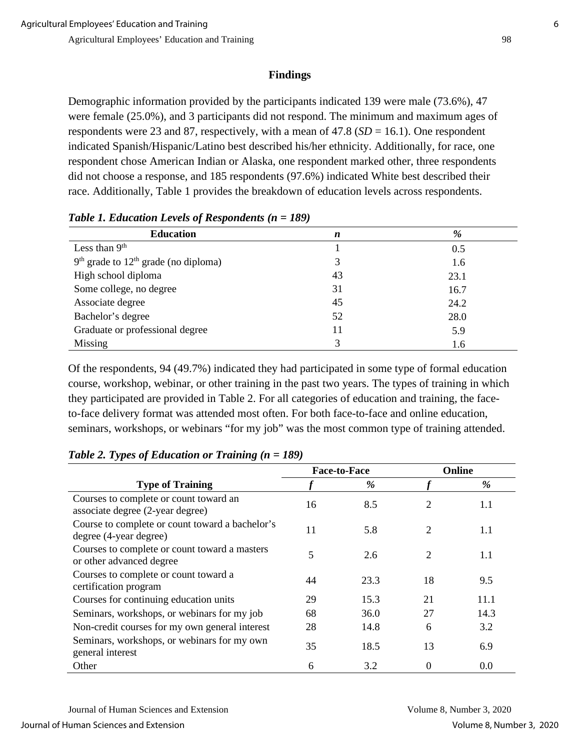## **Findings**

Demographic information provided by the participants indicated 139 were male (73.6%), 47 were female (25.0%), and 3 participants did not respond. The minimum and maximum ages of respondents were 23 and 87, respectively, with a mean of 47.8 (*SD* = 16.1). One respondent indicated Spanish/Hispanic/Latino best described his/her ethnicity. Additionally, for race, one respondent chose American Indian or Alaska, one respondent marked other, three respondents did not choose a response, and 185 respondents (97.6%) indicated White best described their race. Additionally, Table 1 provides the breakdown of education levels across respondents.

| $\cdot$                                  |                  |      |
|------------------------------------------|------------------|------|
| <b>Education</b>                         | $\boldsymbol{n}$ | %    |
| Less than $9th$                          |                  | 0.5  |
| $9th$ grade to $12th$ grade (no diploma) | 3                | 1.6  |
| High school diploma                      | 43               | 23.1 |
| Some college, no degree                  | 31               | 16.7 |
| Associate degree                         | 45               | 24.2 |
| Bachelor's degree                        | 52               | 28.0 |
| Graduate or professional degree          | 11               | 5.9  |
| Missing                                  | 3                | 1.6  |

*Table 1. Education Levels of Respondents (n = 189)*

Of the respondents, 94 (49.7%) indicated they had participated in some type of formal education course, workshop, webinar, or other training in the past two years. The types of training in which they participated are provided in Table 2. For all categories of education and training, the faceto-face delivery format was attended most often. For both face-to-face and online education, seminars, workshops, or webinars "for my job" was the most common type of training attended.

|                                                                            |    | <b>Face-to-Face</b> |                | Online |
|----------------------------------------------------------------------------|----|---------------------|----------------|--------|
| <b>Type of Training</b>                                                    |    | %                   |                | %      |
| Courses to complete or count toward an<br>associate degree (2-year degree) | 16 | 8.5                 | 2              | 1.1    |
| Course to complete or count toward a bachelor's<br>degree (4-year degree)  | 11 | 5.8                 | 2              | 1.1    |
| Courses to complete or count toward a masters<br>or other advanced degree  | 5  | 2.6                 | $\overline{2}$ | 1.1    |
| Courses to complete or count toward a<br>certification program             | 44 | 23.3                | 18             | 9.5    |
| Courses for continuing education units                                     | 29 | 15.3                | 21             | 11.1   |
| Seminars, workshops, or webinars for my job                                | 68 | 36.0                | 27             | 14.3   |
| Non-credit courses for my own general interest                             | 28 | 14.8                | 6              | 3.2    |
| Seminars, workshops, or webinars for my own<br>general interest            | 35 | 18.5                | 13             | 6.9    |
| Other                                                                      | 6  | 3.2                 | $\Omega$       | 0.0    |

*Table 2. Types of Education or Training (n = 189)*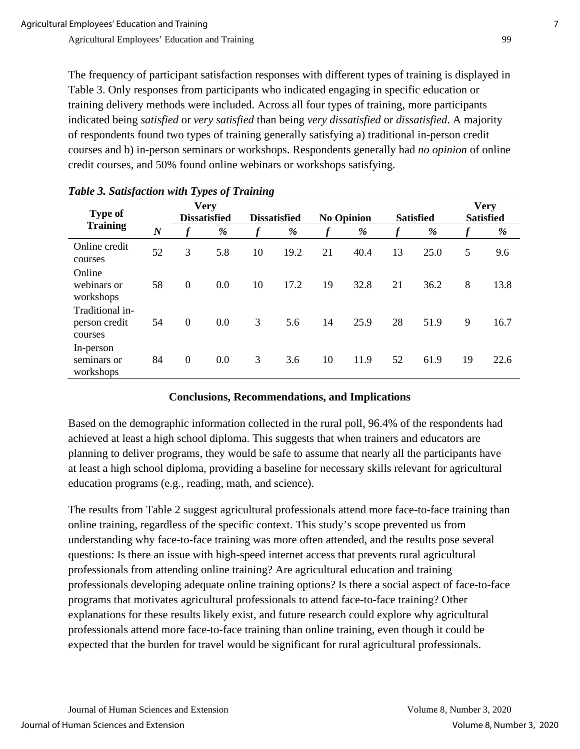The frequency of participant satisfaction responses with different types of training is displayed in Table 3. Only responses from participants who indicated engaging in specific education or training delivery methods were included. Across all four types of training, more participants indicated being *satisfied* or *very satisfied* than being *very dissatisfied* or *dissatisfied*. A majority of respondents found two types of training generally satisfying a) traditional in-person credit courses and b) in-person seminars or workshops. Respondents generally had *no opinion* of online credit courses, and 50% found online webinars or workshops satisfying.

| <b>Type of</b><br><b>Training</b>           |                  | <b>Very</b><br><b>Dissatisfied</b> |     | <b>Dissatisfied</b> |      | <b>No Opinion</b> |      | <b>Satisfied</b> |      | <b>Very</b><br><b>Satisfied</b> |      |
|---------------------------------------------|------------------|------------------------------------|-----|---------------------|------|-------------------|------|------------------|------|---------------------------------|------|
|                                             | $\boldsymbol{N}$ |                                    | %   |                     | %    |                   | $\%$ | $\boldsymbol{f}$ | %    | $\boldsymbol{f}$                | %    |
| Online credit<br>courses                    | 52               | 3                                  | 5.8 | 10                  | 19.2 | 21                | 40.4 | 13               | 25.0 | 5                               | 9.6  |
| Online<br>webinars or<br>workshops          | 58               | $\overline{0}$                     | 0.0 | 10                  | 17.2 | 19                | 32.8 | 21               | 36.2 | 8                               | 13.8 |
| Traditional in-<br>person credit<br>courses | 54               | $\mathbf{0}$                       | 0.0 | 3                   | 5.6  | 14                | 25.9 | 28               | 51.9 | 9                               | 16.7 |
| In-person<br>seminars or<br>workshops       | 84               | $\boldsymbol{0}$                   | 0.0 | 3                   | 3.6  | 10                | 11.9 | 52               | 61.9 | 19                              | 22.6 |

#### *Table 3. Satisfaction with Types of Training*

## **Conclusions, Recommendations, and Implications**

Based on the demographic information collected in the rural poll, 96.4% of the respondents had achieved at least a high school diploma. This suggests that when trainers and educators are planning to deliver programs, they would be safe to assume that nearly all the participants have at least a high school diploma, providing a baseline for necessary skills relevant for agricultural education programs (e.g., reading, math, and science).

The results from Table 2 suggest agricultural professionals attend more face-to-face training than online training, regardless of the specific context. This study's scope prevented us from understanding why face-to-face training was more often attended, and the results pose several questions: Is there an issue with high-speed internet access that prevents rural agricultural professionals from attending online training? Are agricultural education and training professionals developing adequate online training options? Is there a social aspect of face-to-face programs that motivates agricultural professionals to attend face-to-face training? Other explanations for these results likely exist, and future research could explore why agricultural professionals attend more face-to-face training than online training, even though it could be expected that the burden for travel would be significant for rural agricultural professionals.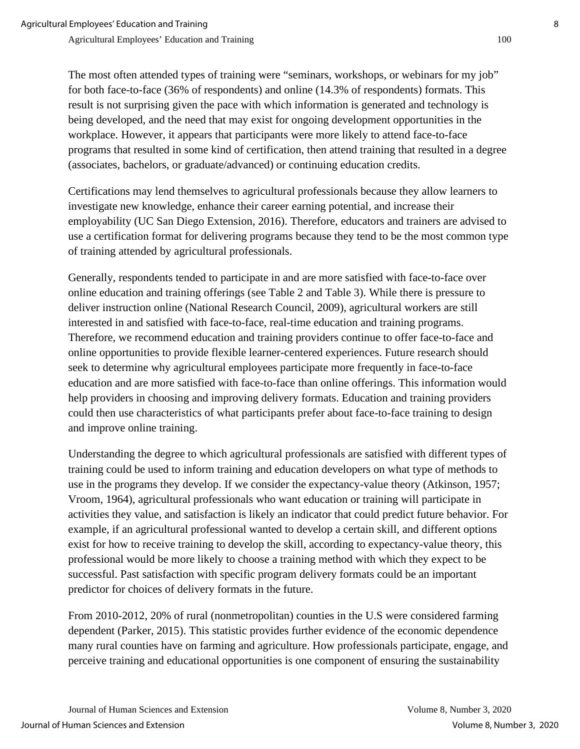The most often attended types of training were "seminars, workshops, or webinars for my job" for both face-to-face (36% of respondents) and online (14.3% of respondents) formats. This result is not surprising given the pace with which information is generated and technology is being developed, and the need that may exist for ongoing development opportunities in the workplace. However, it appears that participants were more likely to attend face-to-face programs that resulted in some kind of certification, then attend training that resulted in a degree (associates, bachelors, or graduate/advanced) or continuing education credits.

Certifications may lend themselves to agricultural professionals because they allow learners to investigate new knowledge, enhance their career earning potential, and increase their employability (UC San Diego Extension, 2016). Therefore, educators and trainers are advised to use a certification format for delivering programs because they tend to be the most common type of training attended by agricultural professionals.

Generally, respondents tended to participate in and are more satisfied with face-to-face over online education and training offerings (see Table 2 and Table 3). While there is pressure to deliver instruction online (National Research Council, 2009), agricultural workers are still interested in and satisfied with face-to-face, real-time education and training programs. Therefore, we recommend education and training providers continue to offer face-to-face and online opportunities to provide flexible learner-centered experiences. Future research should seek to determine why agricultural employees participate more frequently in face-to-face education and are more satisfied with face-to-face than online offerings. This information would help providers in choosing and improving delivery formats. Education and training providers could then use characteristics of what participants prefer about face-to-face training to design and improve online training.

Understanding the degree to which agricultural professionals are satisfied with different types of training could be used to inform training and education developers on what type of methods to use in the programs they develop. If we consider the expectancy-value theory (Atkinson, 1957; Vroom, 1964), agricultural professionals who want education or training will participate in activities they value, and satisfaction is likely an indicator that could predict future behavior. For example, if an agricultural professional wanted to develop a certain skill, and different options exist for how to receive training to develop the skill, according to expectancy-value theory, this professional would be more likely to choose a training method with which they expect to be successful. Past satisfaction with specific program delivery formats could be an important predictor for choices of delivery formats in the future.

From 2010-2012, 20% of rural (nonmetropolitan) counties in the U.S were considered farming dependent (Parker, 2015). This statistic provides further evidence of the economic dependence many rural counties have on farming and agriculture. How professionals participate, engage, and perceive training and educational opportunities is one component of ensuring the sustainability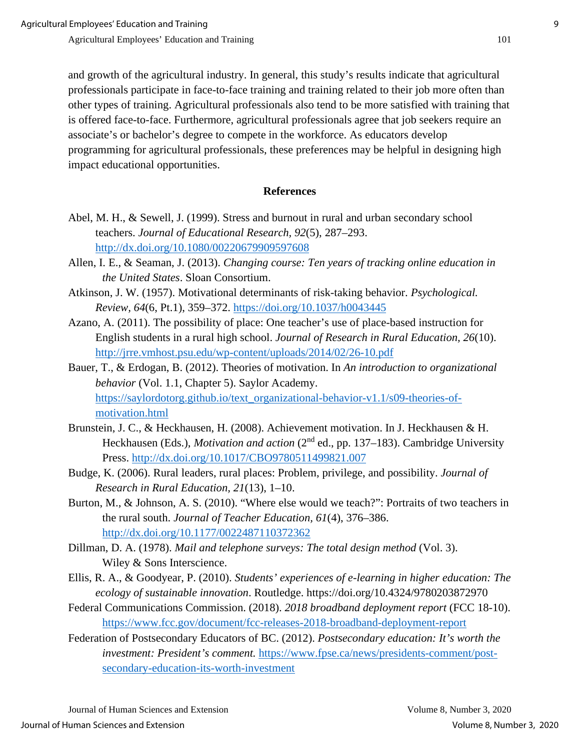and growth of the agricultural industry. In general, this study's results indicate that agricultural professionals participate in face-to-face training and training related to their job more often than other types of training. Agricultural professionals also tend to be more satisfied with training that is offered face-to-face. Furthermore, agricultural professionals agree that job seekers require an associate's or bachelor's degree to compete in the workforce. As educators develop programming for agricultural professionals, these preferences may be helpful in designing high impact educational opportunities.

#### **References**

- Abel, M. H., & Sewell, J. (1999). Stress and burnout in rural and urban secondary school teachers. *Journal of Educational Research, 92*(5), 287–293. <http://dx.doi.org/10.1080/00220679909597608>
- Allen, I. E., & Seaman, J. (2013). *Changing course: Ten years of tracking online education in the United States*. Sloan Consortium.
- Atkinson, J. W. (1957). Motivational determinants of risk-taking behavior. *Psychological. Review, 64*(6, Pt.1), 359–372.<https://doi.org/10.1037/h0043445>
- Azano, A. (2011). The possibility of place: One teacher's use of place-based instruction for English students in a rural high school. *Journal of Research in Rural Education, 26*(10). <http://jrre.vmhost.psu.edu/wp-content/uploads/2014/02/26-10.pdf>
- Bauer, T., & Erdogan, B. (2012). Theories of motivation. In *An introduction to organizational behavior* (Vol. 1.1, Chapter 5). Saylor Academy. [https://saylordotorg.github.io/text\\_organizational-behavior-v1.1/s09-theories-of](https://saylordotorg.github.io/text_organizational-behavior-v1.1/s09-theories-of-motivation.html)[motivation.html](https://saylordotorg.github.io/text_organizational-behavior-v1.1/s09-theories-of-motivation.html)
- Brunstein, J. C., & Heckhausen, H. (2008). Achievement motivation. In J. Heckhausen & H. Heckhausen (Eds.), *Motivation and action* (2<sup>nd</sup> ed., pp. 137–183). Cambridge University Press.<http://dx.doi.org/10.1017/CBO9780511499821.007>
- Budge, K. (2006). Rural leaders, rural places: Problem, privilege, and possibility. *Journal of Research in Rural Education, 21*(13), 1–10.
- Burton, M., & Johnson, A. S. (2010). "Where else would we teach?": Portraits of two teachers in the rural south. *Journal of Teacher Education, 61*(4), 376–386. <http://dx.doi.org/10.1177/0022487110372362>
- Dillman, D. A. (1978). *Mail and telephone surveys: The total design method* (Vol. 3). Wiley & Sons Interscience.
- Ellis, R. A., & Goodyear, P. (2010). *Students' experiences of e-learning in higher education: The ecology of sustainable innovation*. Routledge. https://doi.org/10.4324/9780203872970
- Federal Communications Commission. (2018). *2018 broadband deployment report* (FCC 18-10). <https://www.fcc.gov/document/fcc-releases-2018-broadband-deployment-report>
- Federation of Postsecondary Educators of BC. (2012). *Postsecondary education: It's worth the investment: President's comment.* [https://www.fpse.ca/news/presidents-comment/post](https://www.fpse.ca/news/presidents-comment/post-secondary-education-its-worth-investment)[secondary-education-its-worth-investment](https://www.fpse.ca/news/presidents-comment/post-secondary-education-its-worth-investment)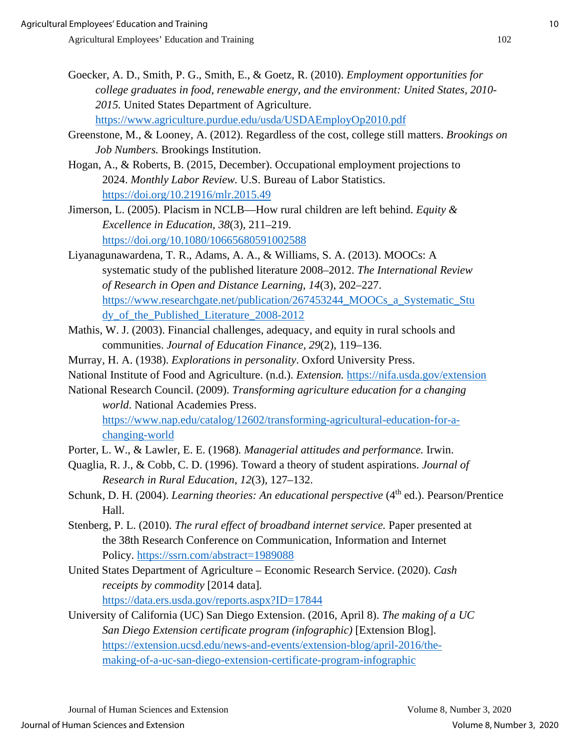- Goecker, A. D., Smith, P. G., Smith, E., & Goetz, R. (2010). *Employment opportunities for college graduates in food, renewable energy, and the environment: United States, 2010- 2015.* United States Department of Agriculture. <https://www.agriculture.purdue.edu/usda/USDAEmployOp2010.pdf>
- Greenstone, M., & Looney, A. (2012). Regardless of the cost, college still matters. *Brookings on Job Numbers.* Brookings Institution.
- Hogan, A., & Roberts, B. (2015, December). Occupational employment projections to 2024. *Monthly Labor Review.* U.S. Bureau of Labor Statistics. <https://doi.org/10.21916/mlr.2015.49>
- Jimerson, L. (2005). Placism in NCLB—How rural children are left behind. *Equity & Excellence in Education, 38*(3), 211–219. <https://doi.org/10.1080/10665680591002588>
- Liyanagunawardena, T. R., Adams, A. A., & Williams, S. A. (2013). MOOCs: A systematic study of the published literature 2008–2012. *The International Review of Research in Open and Distance Learning*, *14*(3), 202–227. [https://www.researchgate.net/publication/267453244\\_MOOCs\\_a\\_Systematic\\_Stu](https://www.researchgate.net/publication/267453244_MOOCs_a_Systematic_Study_of_the_Published_Literature_2008-2012) [dy\\_of\\_the\\_Published\\_Literature\\_2008-2012](https://www.researchgate.net/publication/267453244_MOOCs_a_Systematic_Study_of_the_Published_Literature_2008-2012)
- Mathis, W. J. (2003). Financial challenges, adequacy, and equity in rural schools and communities. *Journal of Education Finance, 29*(2), 119–136.
- Murray, H. A. (1938). *Explorations in personality*. Oxford University Press.
- National Institute of Food and Agriculture. (n.d.). *Extension.* <https://nifa.usda.gov/extension>
- National Research Council. (2009). *Transforming agriculture education for a changing world*. National Academies Press.

[https://www.nap.edu/catalog/12602/transforming-agricultural-education-for-a](https://www.nap.edu/catalog/12602/transforming-agricultural-education-for-a-changing-world)[changing-world](https://www.nap.edu/catalog/12602/transforming-agricultural-education-for-a-changing-world)

- Porter, L. W., & Lawler, E. E. (1968)*. Managerial attitudes and performance.* Irwin.
- Quaglia, R. J., & Cobb, C. D. (1996). Toward a theory of student aspirations. *Journal of Research in Rural Education*, *12*(3), 127–132.
- Schunk, D. H. (2004). *Learning theories: An educational perspective* (4<sup>th</sup> ed.). Pearson/Prentice Hall.
- Stenberg, P. L. (2010). *The rural effect of broadband internet service.* Paper presented at the 38th Research Conference on Communication, Information and Internet Policy.<https://ssrn.com/abstract=1989088>
- United States Department of Agriculture Economic Research Service. (2020). *Cash receipts by commodity* [2014 data]*.*  <https://data.ers.usda.gov/reports.aspx?ID=17844>
- University of California (UC) San Diego Extension. (2016, April 8). *The making of a UC San Diego Extension certificate program (infographic)* [Extension Blog]. [https://extension.ucsd.edu/news-and-events/extension-blog/april-2016/the](https://extension.ucsd.edu/news-and-events/extension-blog/april-2016/the-making-of-a-uc-san-diego-extension-certificate-program-infographic)[making-of-a-uc-san-diego-extension-certificate-program-infographic](https://extension.ucsd.edu/news-and-events/extension-blog/april-2016/the-making-of-a-uc-san-diego-extension-certificate-program-infographic)